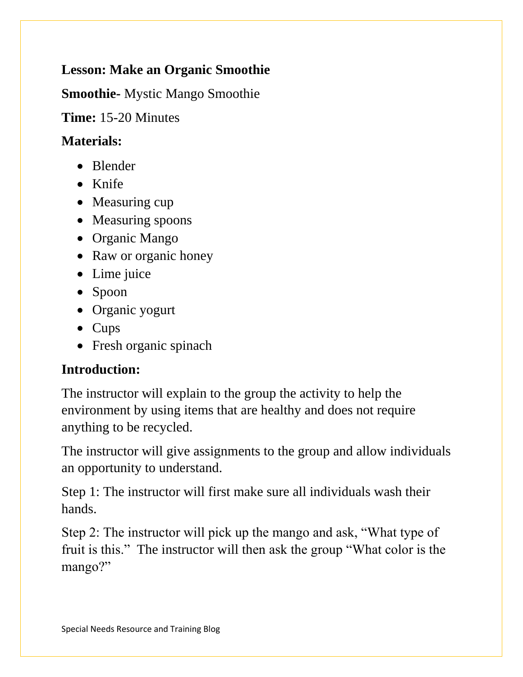## **Lesson: Make an Organic Smoothie**

**Smoothie-** Mystic Mango Smoothie

**Time:** 15-20 Minutes

## **Materials:**

- Blender
- Knife
- Measuring cup
- Measuring spoons
- Organic Mango
- Raw or organic honey
- Lime juice
- Spoon
- Organic yogurt
- Cups
- Fresh organic spinach

## **Introduction:**

The instructor will explain to the group the activity to help the environment by using items that are healthy and does not require anything to be recycled.

The instructor will give assignments to the group and allow individuals an opportunity to understand.

Step 1: The instructor will first make sure all individuals wash their hands.

Step 2: The instructor will pick up the mango and ask, "What type of fruit is this." The instructor will then ask the group "What color is the mango?"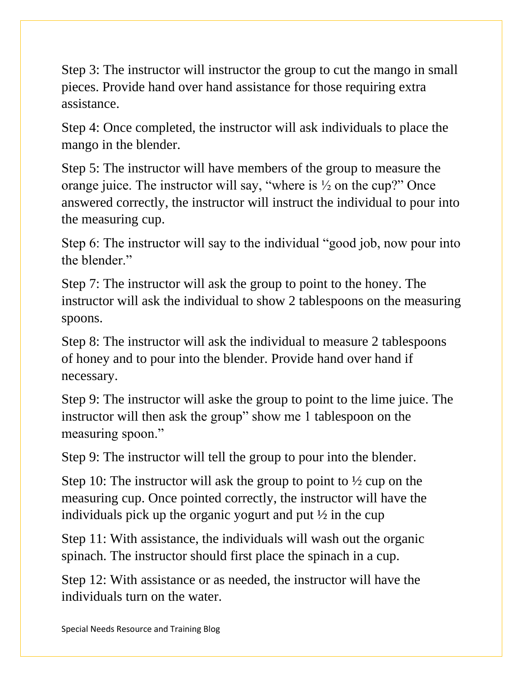Step 3: The instructor will instructor the group to cut the mango in small pieces. Provide hand over hand assistance for those requiring extra assistance.

Step 4: Once completed, the instructor will ask individuals to place the mango in the blender.

Step 5: The instructor will have members of the group to measure the orange juice. The instructor will say, "where is ½ on the cup?" Once answered correctly, the instructor will instruct the individual to pour into the measuring cup.

Step 6: The instructor will say to the individual "good job, now pour into the blender."

Step 7: The instructor will ask the group to point to the honey. The instructor will ask the individual to show 2 tablespoons on the measuring spoons.

Step 8: The instructor will ask the individual to measure 2 tablespoons of honey and to pour into the blender. Provide hand over hand if necessary.

Step 9: The instructor will aske the group to point to the lime juice. The instructor will then ask the group" show me 1 tablespoon on the measuring spoon."

Step 9: The instructor will tell the group to pour into the blender.

Step 10: The instructor will ask the group to point to  $\frac{1}{2}$  cup on the measuring cup. Once pointed correctly, the instructor will have the individuals pick up the organic yogurt and put ½ in the cup

Step 11: With assistance, the individuals will wash out the organic spinach. The instructor should first place the spinach in a cup.

Step 12: With assistance or as needed, the instructor will have the individuals turn on the water.